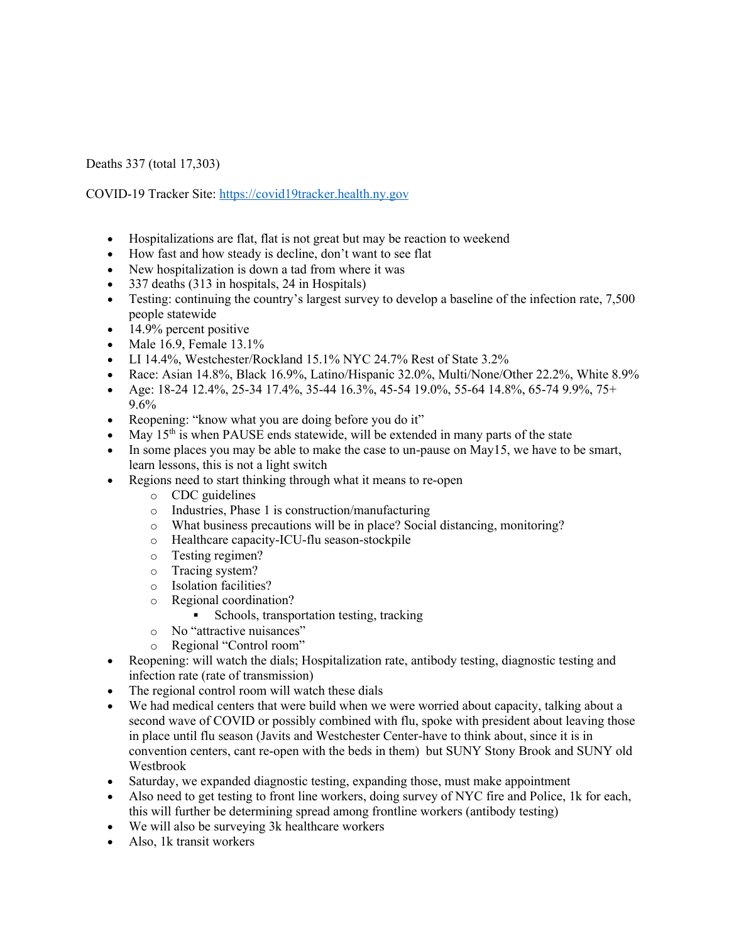Deaths 337 (total 17,303)

COVID-19 Tracker Site: https://covid19tracker.health.ny.gov

- Hospitalizations are flat, flat is not great but may be reaction to weekend
- How fast and how steady is decline, don't want to see flat
- New hospitalization is down a tad from where it was
- 337 deaths (313 in hospitals, 24 in Hospitals)
- Testing: continuing the country's largest survey to develop a baseline of the infection rate, 7,500 people statewide
- $\bullet$  14.9% percent positive
- Male 16.9, Female 13.1%
- LI 14.4%, Westchester/Rockland 15.1% NYC 24.7% Rest of State 3.2%
- Race: Asian 14.8%, Black 16.9%, Latino/Hispanic 32.0%, Multi/None/Other 22.2%, White 8.9%
- Age: 18-24 12.4%, 25-34 17.4%, 35-44 16.3%, 45-54 19.0%, 55-64 14.8%, 65-74 9.9%, 75+ 9.6%
- Reopening: "know what you are doing before you do it"
- May  $15<sup>th</sup>$  is when PAUSE ends statewide, will be extended in many parts of the state
- In some places you may be able to make the case to un-pause on May15, we have to be smart, learn lessons, this is not a light switch
- Regions need to start thinking through what it means to re-open
	- o CDC guidelines
	- o Industries, Phase 1 is construction/manufacturing
	- o What business precautions will be in place? Social distancing, monitoring?
	- o Healthcare capacity-ICU-flu season-stockpile
	- o Testing regimen?
	- o Tracing system?
	- o Isolation facilities?
	- o Regional coordination?
		- Schools, transportation testing, tracking
	- o No "attractive nuisances"
	- o Regional "Control room"
- Reopening: will watch the dials; Hospitalization rate, antibody testing, diagnostic testing and infection rate (rate of transmission)
- The regional control room will watch these dials
- We had medical centers that were build when we were worried about capacity, talking about a second wave of COVID or possibly combined with flu, spoke with president about leaving those in place until flu season (Javits and Westchester Center-have to think about, since it is in convention centers, cant re-open with the beds in them) but SUNY Stony Brook and SUNY old Westbrook
- Saturday, we expanded diagnostic testing, expanding those, must make appointment
- Also need to get testing to front line workers, doing survey of NYC fire and Police, 1k for each, this will further be determining spread among frontline workers (antibody testing)
- We will also be surveying 3k healthcare workers
- Also, 1k transit workers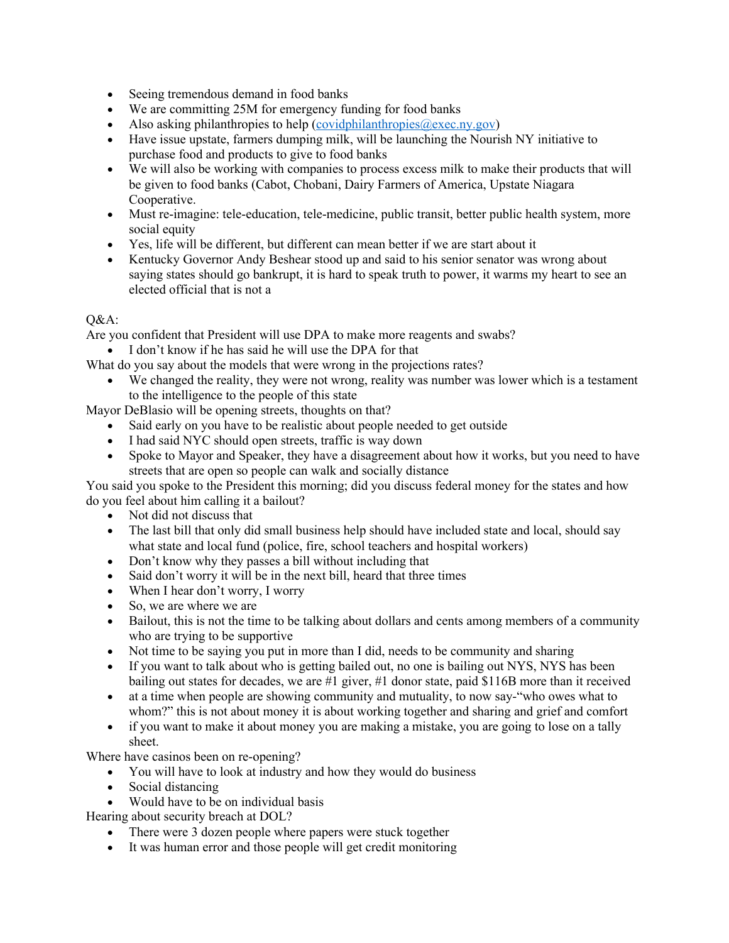- Seeing tremendous demand in food banks
- We are committing 25M for emergency funding for food banks
- Also asking philanthropies to help  $(covidphilanthropies@exec.py.gov)$
- Have issue upstate, farmers dumping milk, will be launching the Nourish NY initiative to purchase food and products to give to food banks
- We will also be working with companies to process excess milk to make their products that will be given to food banks (Cabot, Chobani, Dairy Farmers of America, Upstate Niagara Cooperative.
- Must re-imagine: tele-education, tele-medicine, public transit, better public health system, more social equity
- Yes, life will be different, but different can mean better if we are start about it
- Kentucky Governor Andy Beshear stood up and said to his senior senator was wrong about saying states should go bankrupt, it is hard to speak truth to power, it warms my heart to see an elected official that is not a

## $O&A$ :

Are you confident that President will use DPA to make more reagents and swabs?

• I don't know if he has said he will use the DPA for that

- What do you say about the models that were wrong in the projections rates?
	- We changed the reality, they were not wrong, reality was number was lower which is a testament to the intelligence to the people of this state

Mayor DeBlasio will be opening streets, thoughts on that?

- Said early on you have to be realistic about people needed to get outside
- I had said NYC should open streets, traffic is way down
- Spoke to Mayor and Speaker, they have a disagreement about how it works, but you need to have streets that are open so people can walk and socially distance

You said you spoke to the President this morning; did you discuss federal money for the states and how do you feel about him calling it a bailout?

- Not did not discuss that
- The last bill that only did small business help should have included state and local, should say what state and local fund (police, fire, school teachers and hospital workers)
- Don't know why they passes a bill without including that
- Said don't worry it will be in the next bill, heard that three times
- When I hear don't worry, I worry
- So, we are where we are
- Bailout, this is not the time to be talking about dollars and cents among members of a community who are trying to be supportive
- Not time to be saying you put in more than I did, needs to be community and sharing
- If you want to talk about who is getting bailed out, no one is bailing out NYS, NYS has been bailing out states for decades, we are #1 giver, #1 donor state, paid \$116B more than it received
- at a time when people are showing community and mutuality, to now say-"who owes what to whom?" this is not about money it is about working together and sharing and grief and comfort
- if you want to make it about money you are making a mistake, you are going to lose on a tally sheet.

Where have casinos been on re-opening?

- You will have to look at industry and how they would do business
- Social distancing
- Would have to be on individual basis

Hearing about security breach at DOL?

- There were 3 dozen people where papers were stuck together
- It was human error and those people will get credit monitoring